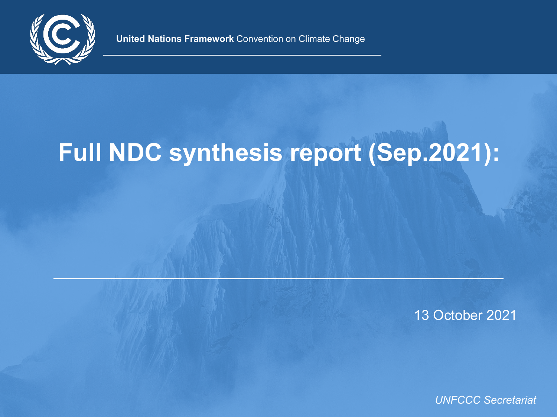

**United Nations Framework** Convention on Climate Change

# **Full NDC synthesis report (Sep.2021):**

13 October 2021

*UNFCCC Secretariat*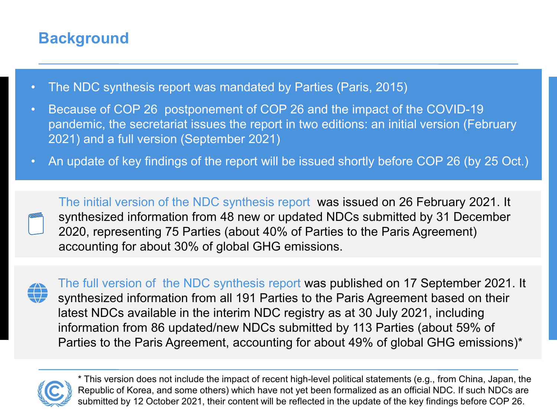# **Background**

- The NDC synthesis report was mandated by Parties (Paris, 2015)
- Because of COP 26 postponement of COP 26 and the impact of the COVID-19 pandemic, the secretariat issues the report in two editions: an initial version (February 2021) and a full version (September 2021)
- An update of key findings of the report will be issued shortly before COP 26 (by 25 Oct.)

The initial version of the NDC synthesis report was issued on 26 February 2021. It synthesized information from 48 new or updated NDCs submitted by 31 December 2020, representing 75 Parties (about 40% of Parties to the Paris Agreement) accounting for about 30% of global GHG emissions.



The full version of the NDC synthesis report was published on 17 September 2021. It synthesized information from all 191 Parties to the Paris Agreement based on their latest NDCs available in the interim NDC registry as at 30 July 2021, including information from 86 updated/new NDCs submitted by 113 Parties (about 59% of Parties to the Paris Agreement, accounting for about 49% of global GHG emissions)\*



\* This version does not include the impact of recent high-level political statements (e.g., from China, Japan, the Republic of Korea, and some others) which have not yet been formalized as an official NDC. If such NDCs are submitted by 12 October 2021, their content will be reflected in the update of the key findings before COP 26.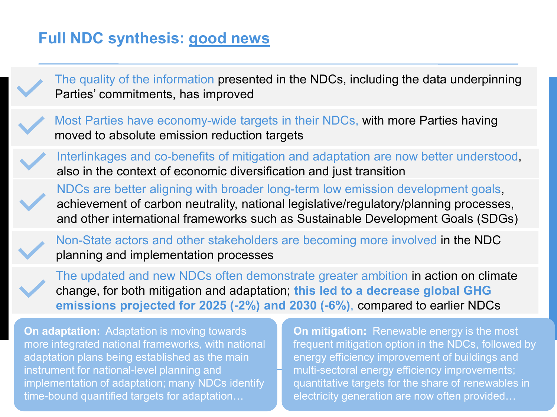### **Full NDC synthesis: good news**

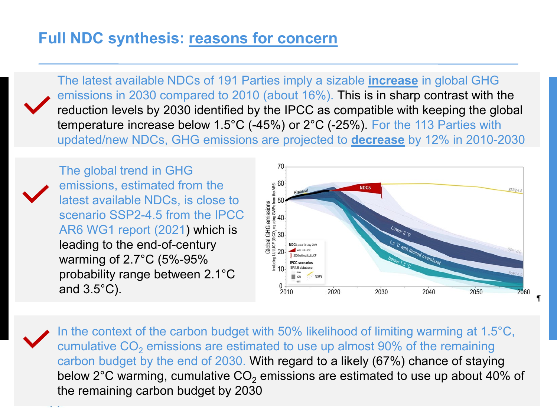#### **Full NDC synthesis: reasons for concern**

The latest available NDCs of 191 Parties imply a sizable **increase** in global GHG emissions in 2030 compared to 2010 (about 16%). This is in sharp contrast with the reduction levels by 2030 identified by the IPCC as compatible with keeping the global temperature increase below 1.5°C (-45%) or 2°C (-25%). For the 113 Parties with updated/new NDCs, GHG emissions are projected to **decrease** by 12% in 2010-2030



The global trend in GHG emissions, estimated from the latest available NDCs, is close to scenario SSP2-4.5 from the IPCC AR6 WG1 report (2021) which is leading to the end-of-century warming of 2.7°C (5%-95% probability range between 2.1°C and 3.5°C).



In the context of the carbon budget with 50% likelihood of limiting warming at 1.5°C, cumulative  $CO<sub>2</sub>$  emissions are estimated to use up almost 90% of the remaining carbon budget by the end of 2030. With regard to a likely (67%) chance of staying below  $2^{\circ}$ C warming, cumulative CO<sub>2</sub> emissions are estimated to use up about 40% of the remaining carbon budget by 2030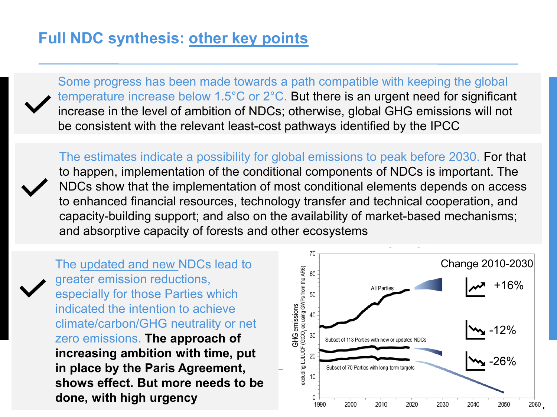#### **Full NDC synthesis: other key points**

Some progress has been made towards a path compatible with keeping the global temperature increase below 1.5°C or 2°C. But there is an urgent need for significant increase in the level of ambition of NDCs; otherwise, global GHG emissions will not be consistent with the relevant least-cost pathways identified by the IPCC

The estimates indicate a possibility for global emissions to peak before 2030. For that to happen, implementation of the conditional components of NDCs is important. The NDCs show that the implementation of most conditional elements depends on access to enhanced financial resources, technology transfer and technical cooperation, and capacity-building support; and also on the availability of market-based mechanisms; and absorptive capacity of forests and other ecosystems

The updated and new NDCs lead to greater emission reductions, especially for those Parties which indicated the intention to achieve climate/carbon/GHG neutrality or net zero emissions. **The approach of increasing ambition with time, put in place by the Paris Agreement, shows effect. But more needs to be done, with high urgency**

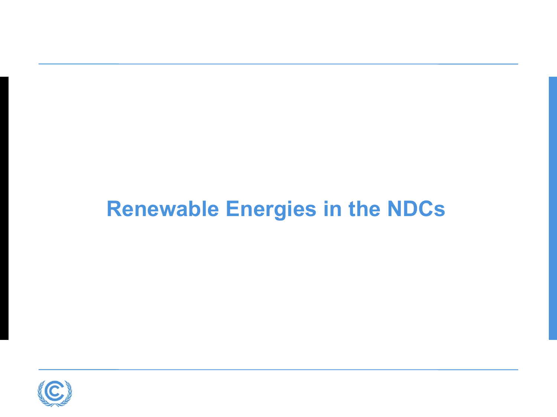# **Renewable Energies in the NDCs**

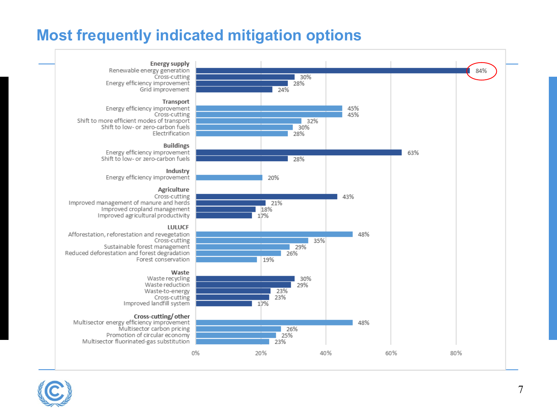# **Most frequently indicated mitigation options**



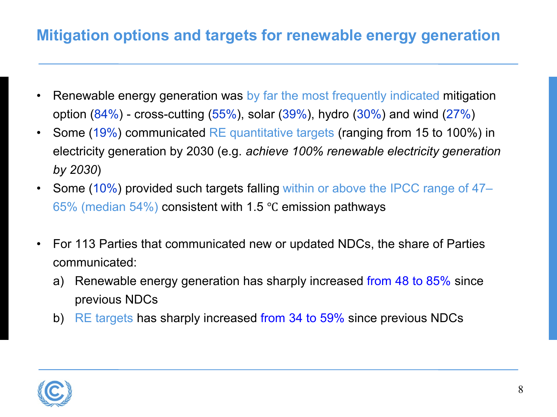# **Mitigation options and targets for renewable energy generation**

- Renewable energy generation was by far the most frequently indicated mitigation option  $(84%)$  - cross-cutting  $(55%)$ , solar  $(39%)$ , hydro  $(30%)$  and wind  $(27%)$
- Some (19%) communicated RE quantitative targets (ranging from 15 to 100%) in electricity generation by 2030 (e.g. *achieve 100% renewable electricity generation by 2030*)
- Some (10%) provided such targets falling within or above the IPCC range of 47– 65% (median 54%) consistent with 1.5 ℃ emission pathways
- For 113 Parties that communicated new or updated NDCs, the share of Parties communicated:
	- a) Renewable energy generation has sharply increased from 48 to 85% since previous NDCs
	- b) RE targets has sharply increased from 34 to 59% since previous NDCs